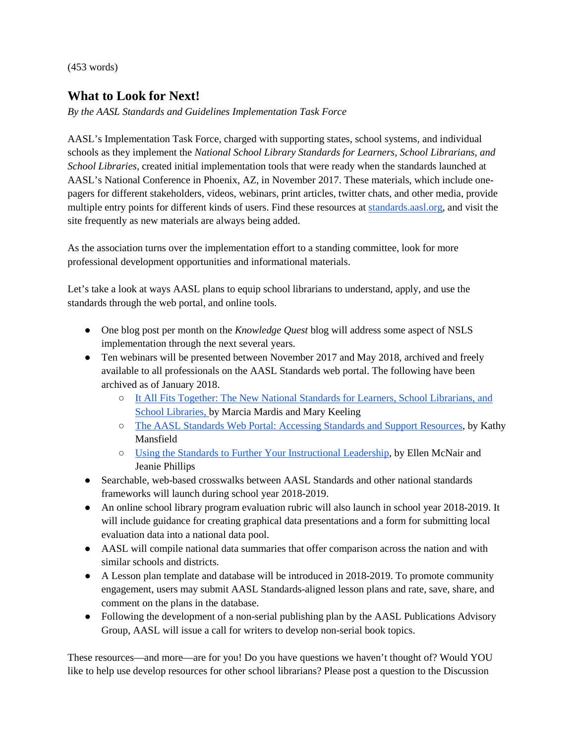(453 words)

## **What to Look for Next!**

*By the AASL Standards and Guidelines Implementation Task Force*

AASL's Implementation Task Force, charged with supporting states, school systems, and individual schools as they implement the *National School Library Standards for Learners, School Librarians, and School Libraries*, created initial implementation tools that were ready when the standards launched at AASL's National Conference in Phoenix, AZ, in November 2017. These materials, which include onepagers for different stakeholders, videos, webinars, print articles, twitter chats, and other media, provide multiple entry points for different kinds of users. Find these resources at [standards.aasl.org,](http://standards.aasl.org/) and visit the site frequently as new materials are always being added.

As the association turns over the implementation effort to a standing committee, look for more professional development opportunities and informational materials.

Let's take a look at ways AASL plans to equip school librarians to understand, apply, and use the standards through the web portal, and online tools.

- One blog post per month on the *Knowledge Quest* blog will address some aspect of NSLS implementation through the next several years.
- Ten webinars will be presented between November 2017 and May 2018, archived and freely available to all professionals on the AASL Standards web portal. The following have been archived as of January 2018.
	- [It All Fits Together: The New National Standards for Learners, School Librarians, and](http://www.ala.org/aasl/ecollab/standards)  [School Libraries, b](http://www.ala.org/aasl/ecollab/standards)y Marcia Mardis and Mary Keeling
	- [The AASL Standards Web Portal: Accessing Standards and Support Resources,](http://www.ala.org/aasl/ecollab/portal) by Kathy Mansfield
	- [Using the Standards to Further Your Instructional Leadership,](http://www.ala.org/aasl/ecollab/leadership) by Ellen McNair and Jeanie Phillips
- Searchable, web-based crosswalks between AASL Standards and other national standards frameworks will launch during school year 2018-2019.
- An online school library program evaluation rubric will also launch in school year 2018-2019. It will include guidance for creating graphical data presentations and a form for submitting local evaluation data into a national data pool.
- AASL will compile national data summaries that offer comparison across the nation and with similar schools and districts.
- A Lesson plan template and database will be introduced in 2018-2019. To promote community engagement, users may submit AASL Standards-aligned lesson plans and rate, save, share, and comment on the plans in the database.
- Following the development of a non-serial publishing plan by the AASL Publications Advisory Group, AASL will issue a call for writers to develop non-serial book topics.

These resources—and more—are for you! Do you have questions we haven't thought of? Would YOU like to help use develop resources for other school librarians? Please post a question to the Discussion